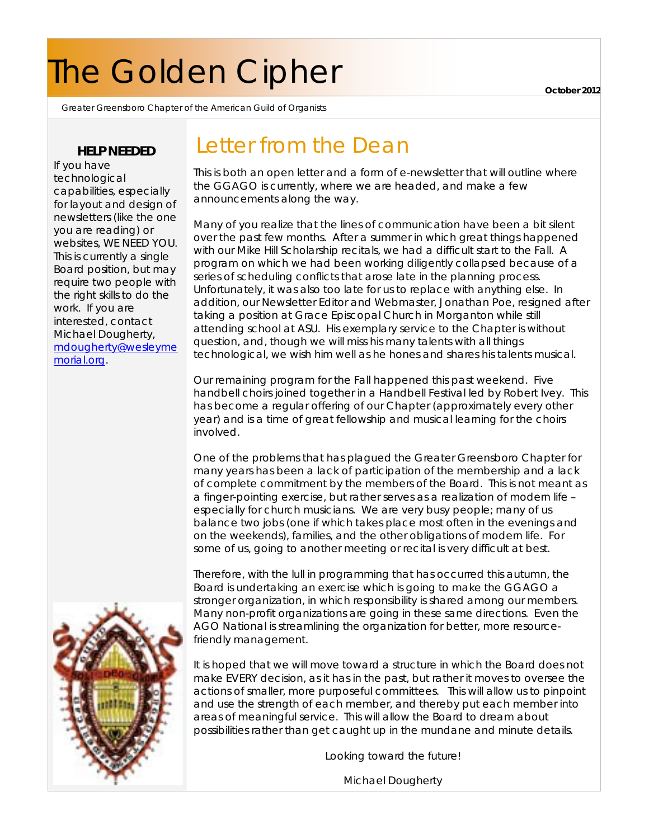# The Golden Cipher

Greater Greensboro Chapter of the American Guild of Organists

### **HELP NEEDED**

If you have technological capabilities, especially for layout and design of newsletters (like the one you are reading) or websites, WE NEED YOU. This is currently a single Board position, but may require two people with the right skills to do the work. If you are interested, contact Michael Dougherty, [mdougherty@wesleyme](mailto:mdougherty@wesleymemorial.org) [morial.org.](mailto:mdougherty@wesleymemorial.org)

# Letter from the Dean

This is both an open letter and a form of e-newsletter that will outline where the GGAGO is currently, where we are headed, and make a few announcements along the way.

Many of you realize that the lines of communication have been a bit silent over the past few months. After a summer in which great things happened with our Mike Hill Scholarship recitals, we had a difficult start to the Fall. A program on which we had been working diligently collapsed because of a series of scheduling conflicts that arose late in the planning process. Unfortunately, it was also too late for us to replace with anything else. In addition, our Newsletter Editor and Webmaster, Jonathan Poe, resigned after taking a position at Grace Episcopal Church in Morganton while still attending school at ASU. His exemplary service to the Chapter is without question, and, though we will miss his many talents with all things technological, we wish him well as he hones and shares his talents musical.

Our remaining program for the Fall happened this past weekend. Five handbell choirs joined together in a Handbell Festival led by Robert Ivey. This has become a regular offering of our Chapter (approximately every other year) and is a time of great fellowship and musical learning for the choirs involved.

One of the problems that has plagued the Greater Greensboro Chapter for many years has been a lack of participation of the membership and a lack of complete commitment by the members of the Board. This is not meant as a finger-pointing exercise, but rather serves as a realization of modern life – especially for church musicians. We are very busy people; many of us balance two jobs (one if which takes place most often in the evenings and on the weekends), families, and the other obligations of modern life. For some of us, going to another meeting or recital is very difficult at best.

Therefore, with the lull in programming that has occurred this autumn, the Board is undertaking an exercise which is going to make the GGAGO a stronger organization, in which responsibility is shared among our members. Many non-profit organizations are going in these same directions. Even the AGO National is streamlining the organization for better, more resourcefriendly management.

It is hoped that we will move toward a structure in which the Board does not make EVERY decision, as it has in the past, but rather it moves to oversee the actions of smaller, more purposeful committees. This will allow us to pinpoint and use the strength of each member, and thereby put each member into areas of meaningful service. This will allow the Board to dream about possibilities rather than get caught up in the mundane and minute details.

Looking toward the future!

Michael Dougherty



**October 2012**